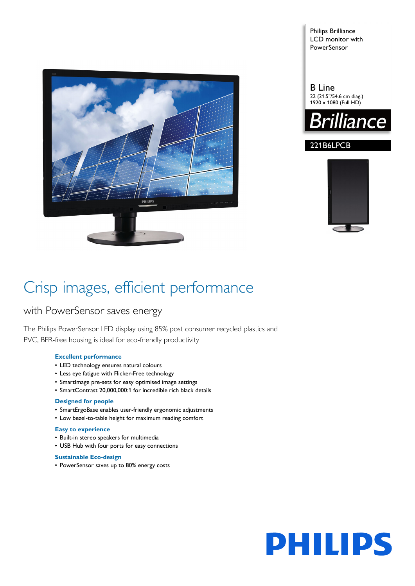

Philips Brilliance LCD monitor with **PowerSensor** 

# B Line 22 (21.5"/54.6 cm diag.)  $1920 \times 1080$  (Full HD)



# 221B6LPCB



# Crisp images, efficient performance

# with PowerSensor saves energy

The Philips PowerSensor LED display using 85% post consumer recycled plastics and PVC, BFR-free housing is ideal for eco-friendly productivity

# **Excellent performance**

- LED technology ensures natural colours
- Less eye fatigue with Flicker-Free technology
- SmartImage pre-sets for easy optimised image settings
- SmartContrast 20,000,000:1 for incredible rich black details

# **Designed for people**

- SmartErgoBase enables user-friendly ergonomic adjustments
- Low bezel-to-table height for maximum reading comfort

# **Easy to experience**

- Built-in stereo speakers for multimedia
- USB Hub with four ports for easy connections

# **Sustainable Eco-design**

• PowerSensor saves up to 80% energy costs

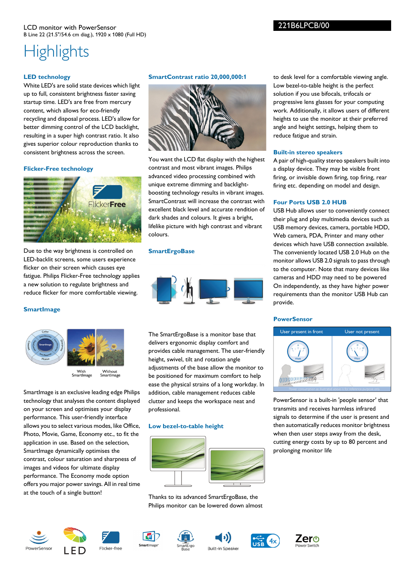# **Highlights**

# **LED technology**

White LED's are solid state devices which light up to full, consistent brightness faster saving startup time. LED's are free from mercury content, which allows for eco-friendly recycling and disposal process. LED's allow for better dimming control of the LCD backlight, resulting in a super high contrast ratio. It also gives superior colour reproduction thanks to consistent brightness across the screen.

# **Flicker-Free technology**



Due to the way brightness is controlled on LED-backlit screens, some users experience flicker on their screen which causes eye fatigue. Philips Flicker-Free technology applies a new solution to regulate brightness and reduce flicker for more comfortable viewing.

# **SmartImage**



SmartImage is an exclusive leading edge Philips technology that analyses the content displayed on your screen and optimises your display performance. This user-friendly interface allows you to select various modes, like Office, Photo, Movie, Game, Economy etc., to fit the application in use. Based on the selection, SmartImage dynamically optimises the contrast, colour saturation and sharpness of images and videos for ultimate display performance. The Economy mode option offers you major power savings. All in real time at the touch of a single button!

# **SmartContrast ratio 20,000,000:1**



You want the LCD flat display with the highest contrast and most vibrant images. Philips advanced video processing combined with unique extreme dimming and backlightboosting technology results in vibrant images. SmartContrast will increase the contrast with excellent black level and accurate rendition of dark shades and colours. It gives a bright, lifelike picture with high contrast and vibrant colours.

# **SmartErgoBase**



The SmartErgoBase is a monitor base that delivers ergonomic display comfort and provides cable management. The user-friendly height, swivel, tilt and rotation angle adjustments of the base allow the monitor to be positioned for maximum comfort to help ease the physical strains of a long workday. In addition, cable management reduces cable clutter and keeps the workspace neat and professional.

# **Low bezel-to-table height**



Thanks to its advanced SmartErgoBase, the Philips monitor can be lowered down almost



# **Built-in stereo speakers**

221B6LPCB/00

A pair of high-quality stereo speakers built into a display device. They may be visible front firing, or invisible down firing, top firing, rear firing etc. depending on model and design.

# **Four Ports USB 2.0 HUB**

USB Hub allows user to conveniently connect their plug and play multimedia devices such as USB memory devices, camera, portable HDD, Web camera, PDA, Printer and many other devices which have USB connection available. The conveniently located USB 2.0 Hub on the monitor allows USB 2.0 signals to pass through to the computer. Note that many devices like cameras and HDD may need to be powered On independently, as they have higher power requirements than the monitor USB Hub can provide.

#### **PowerSensor**



PowerSensor is a built-in 'people sensor' that transmits and receives harmless infrared signals to determine if the user is present and then automatically reduces monitor brightness when then user steps away from the desk, cutting energy costs by up to 80 percent and prolonging monitor life